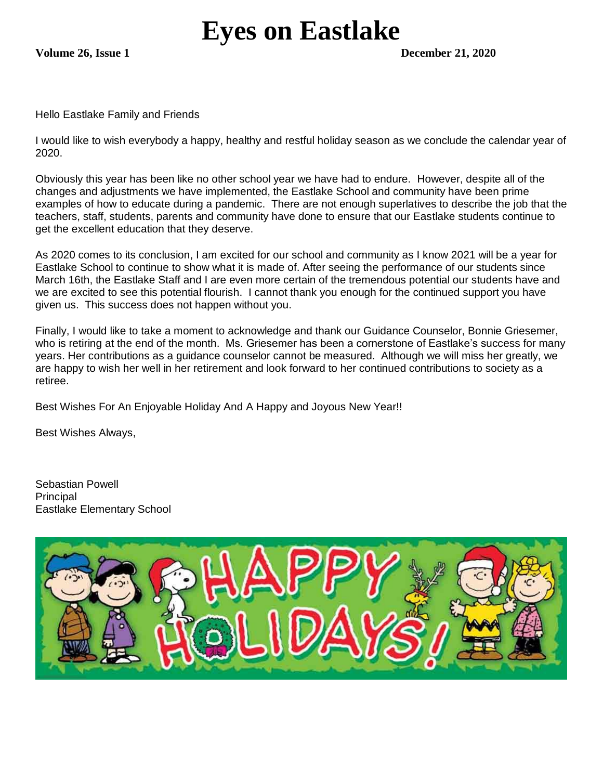## **Eyes on Eastlake**

**Volume 26, Issue 1 December 21, 2020**

Hello Eastlake Family and Friends

I would like to wish everybody a happy, healthy and restful holiday season as we conclude the calendar year of 2020.

Obviously this year has been like no other school year we have had to endure. However, despite all of the changes and adjustments we have implemented, the Eastlake School and community have been prime examples of how to educate during a pandemic. There are not enough superlatives to describe the job that the teachers, staff, students, parents and community have done to ensure that our Eastlake students continue to get the excellent education that they deserve.

As 2020 comes to its conclusion, I am excited for our school and community as I know 2021 will be a year for Eastlake School to continue to show what it is made of. After seeing the performance of our students since March 16th, the Eastlake Staff and I are even more certain of the tremendous potential our students have and we are excited to see this potential flourish. I cannot thank you enough for the continued support you have given us. This success does not happen without you.

Finally, I would like to take a moment to acknowledge and thank our Guidance Counselor, Bonnie Griesemer, who is retiring at the end of the month. Ms. Griesemer has been a cornerstone of Eastlake's success for many years. Her contributions as a guidance counselor cannot be measured. Although we will miss her greatly, we are happy to wish her well in her retirement and look forward to her continued contributions to society as a retiree.

Best Wishes For An Enjoyable Holiday And A Happy and Joyous New Year!!

Best Wishes Always,

Sebastian Powell Principal Eastlake Elementary School

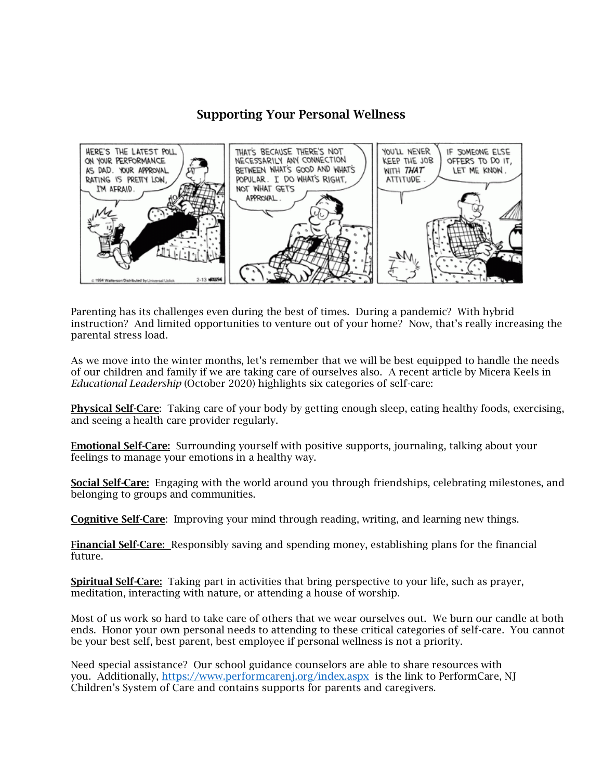## Supporting Your Personal Wellness



Parenting has its challenges even during the best of times. During a pandemic? With hybrid instruction? And limited opportunities to venture out of your home? Now, that's really increasing the parental stress load.

As we move into the winter months, let's remember that we will be best equipped to handle the needs of our children and family if we are taking care of ourselves also. A recent article by Micera Keels in *Educational Leadership* (October 2020) highlights six categories of self-care:

Physical Self-Care: Taking care of your body by getting enough sleep, eating healthy foods, exercising, and seeing a health care provider regularly.

Emotional Self-Care: Surrounding yourself with positive supports, journaling, talking about your feelings to manage your emotions in a healthy way.

Social Self-Care: Engaging with the world around you through friendships, celebrating milestones, and belonging to groups and communities.

Cognitive Self-Care: Improving your mind through reading, writing, and learning new things.

Financial Self-Care: Responsibly saving and spending money, establishing plans for the financial future.

Spiritual Self-Care: Taking part in activities that bring perspective to your life, such as prayer, meditation, interacting with nature, or attending a house of worship.

Most of us work so hard to take care of others that we wear ourselves out. We burn our candle at both ends. Honor your own personal needs to attending to these critical categories of self-care. You cannot be your best self, best parent, best employee if personal wellness is not a priority.

Need special assistance? Our school guidance counselors are able to share resources with you. Additionally,<https://www.performcarenj.org/index.aspx> is the link to PerformCare, NJ Children's System of Care and contains supports for parents and caregivers.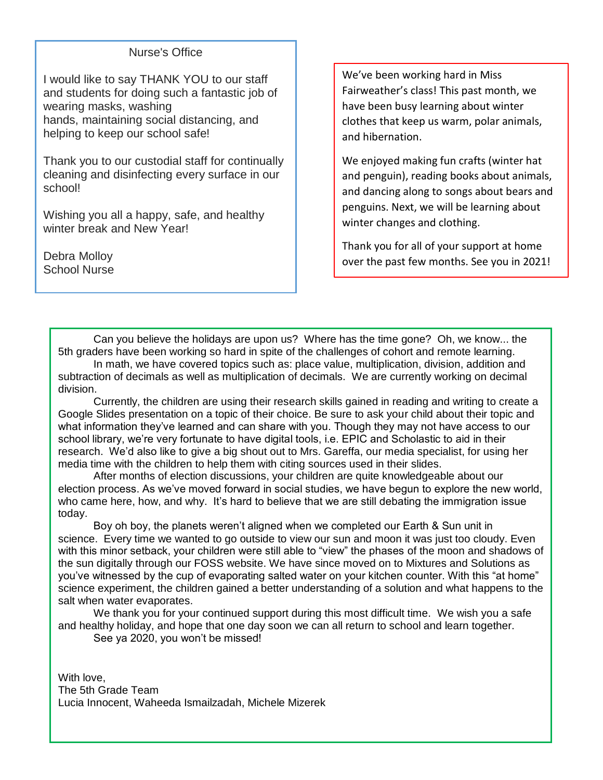## Nurse's Office

I would like to say THANK YOU to our staff and students for doing such a fantastic job of wearing masks, washing hands, maintaining social distancing, and helping to keep our school safe!

Thank you to our custodial staff for continually cleaning and disinfecting every surface in our school!

Wishing you all a happy, safe, and healthy winter break and New Year!

Debra Molloy School Nurse We've been working hard in Miss Fairweather's class! This past month, we have been busy learning about winter clothes that keep us warm, polar animals, and hibernation.

We enjoyed making fun crafts (winter hat and penguin), reading books about animals, and dancing along to songs about bears and penguins. Next, we will be learning about winter changes and clothing.

Thank you for all of your support at home over the past few months. See you in 2021!

Can you believe the holidays are upon us? Where has the time gone? Oh, we know... the 5th graders have been working so hard in spite of the challenges of cohort and remote learning. In math, we have covered topics such as: place value, multiplication, division, addition and

subtraction of decimals as well as multiplication of decimals. We are currently working on decimal division.

Currently, the children are using their research skills gained in reading and writing to create a Google Slides presentation on a topic of their choice. Be sure to ask your child about their topic and what information they've learned and can share with you. Though they may not have access to our school library, we're very fortunate to have digital tools, i.e. EPIC and Scholastic to aid in their research. We'd also like to give a big shout out to Mrs. Gareffa, our media specialist, for using her media time with the children to help them with citing sources used in their slides.

After months of election discussions, your children are quite knowledgeable about our election process. As we've moved forward in social studies, we have begun to explore the new world, who came here, how, and why. It's hard to believe that we are still debating the immigration issue today.

Boy oh boy, the planets weren't aligned when we completed our Earth & Sun unit in science. Every time we wanted to go outside to view our sun and moon it was just too cloudy. Even with this minor setback, your children were still able to "view" the phases of the moon and shadows of the sun digitally through our FOSS website. We have since moved on to Mixtures and Solutions as you've witnessed by the cup of evaporating salted water on your kitchen counter. With this "at home" science experiment, the children gained a better understanding of a solution and what happens to the salt when water evaporates.

We thank you for your continued support during this most difficult time. We wish you a safe and healthy holiday, and hope that one day soon we can all return to school and learn together.

See ya 2020, you won't be missed!

With love, The 5th Grade Team Lucia Innocent, Waheeda Ismailzadah, Michele Mizerek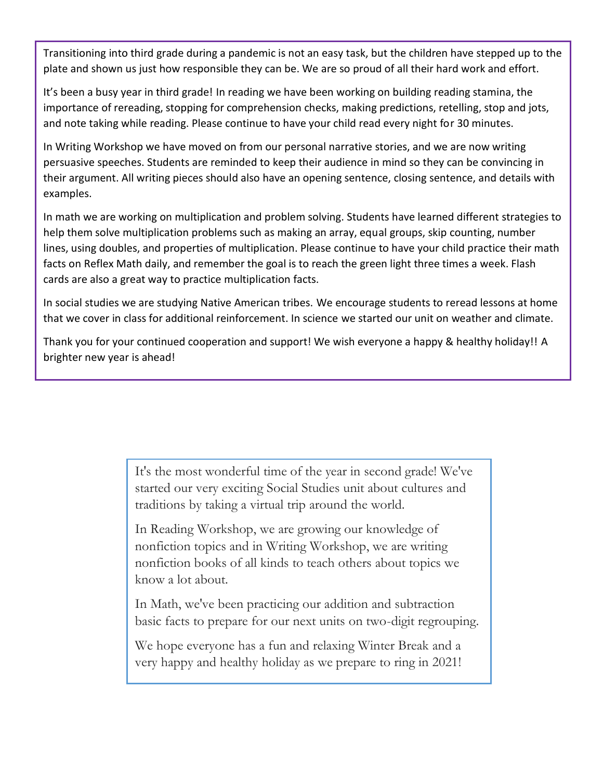Transitioning into third grade during a pandemic is not an easy task, but the children have stepped up to the plate and shown us just how responsible they can be. We are so proud of all their hard work and effort.

It's been a busy year in third grade! In reading we have been working on building reading stamina, the importance of rereading, stopping for comprehension checks, making predictions, retelling, stop and jots, and note taking while reading. Please continue to have your child read every night for 30 minutes.

In Writing Workshop we have moved on from our personal narrative stories, and we are now writing persuasive speeches. Students are reminded to keep their audience in mind so they can be convincing in their argument. All writing pieces should also have an opening sentence, closing sentence, and details with examples.

In math we are working on multiplication and problem solving. Students have learned different strategies to help them solve multiplication problems such as making an array, equal groups, skip counting, number lines, using doubles, and properties of multiplication. Please continue to have your child practice their math facts on Reflex Math daily, and remember the goal is to reach the green light three times a week. Flash cards are also a great way to practice multiplication facts.

In social studies we are studying Native American tribes. We encourage students to reread lessons at home that we cover in class for additional reinforcement. In science we started our unit on weather and climate.

Thank you for your continued cooperation and support! We wish everyone a happy & healthy holiday!! A brighter new year is ahead!

> It's the most wonderful time of the year in second grade! We've started our very exciting Social Studies unit about cultures and traditions by taking a virtual trip around the world.

In Reading Workshop, we are growing our knowledge of nonfiction topics and in Writing Workshop, we are writing nonfiction books of all kinds to teach others about topics we know a lot about.

In Math, we've been practicing our addition and subtraction basic facts to prepare for our next units on two-digit regrouping.

We hope everyone has a fun and relaxing Winter Break and a very happy and healthy holiday as we prepare to ring in 2021!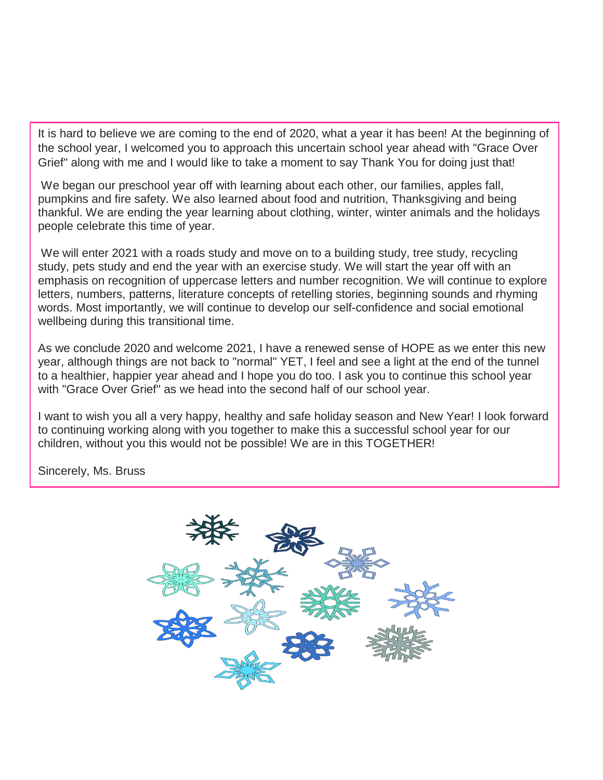It is hard to believe we are coming to the end of 2020, what a year it has been! At the beginning of the school year, I welcomed you to approach this uncertain school year ahead with "Grace Over Grief" along with me and I would like to take a moment to say Thank You for doing just that!

We began our preschool year off with learning about each other, our families, apples fall, pumpkins and fire safety. We also learned about food and nutrition, Thanksgiving and being thankful. We are ending the year learning about clothing, winter, winter animals and the holidays people celebrate this time of year.

We will enter 2021 with a roads study and move on to a building study, tree study, recycling study, pets study and end the year with an exercise study. We will start the year off with an emphasis on recognition of uppercase letters and number recognition. We will continue to explore letters, numbers, patterns, literature concepts of retelling stories, beginning sounds and rhyming words. Most importantly, we will continue to develop our self-confidence and social emotional wellbeing during this transitional time.

As we conclude 2020 and welcome 2021, I have a renewed sense of HOPE as we enter this new year, although things are not back to "normal" YET, I feel and see a light at the end of the tunnel to a healthier, happier year ahead and I hope you do too. I ask you to continue this school year with "Grace Over Grief" as we head into the second half of our school year.

I want to wish you all a very happy, healthy and safe holiday season and New Year! I look forward to continuing working along with you together to make this a successful school year for our children, without you this would not be possible! We are in this TOGETHER!

Sincerely, Ms. Bruss

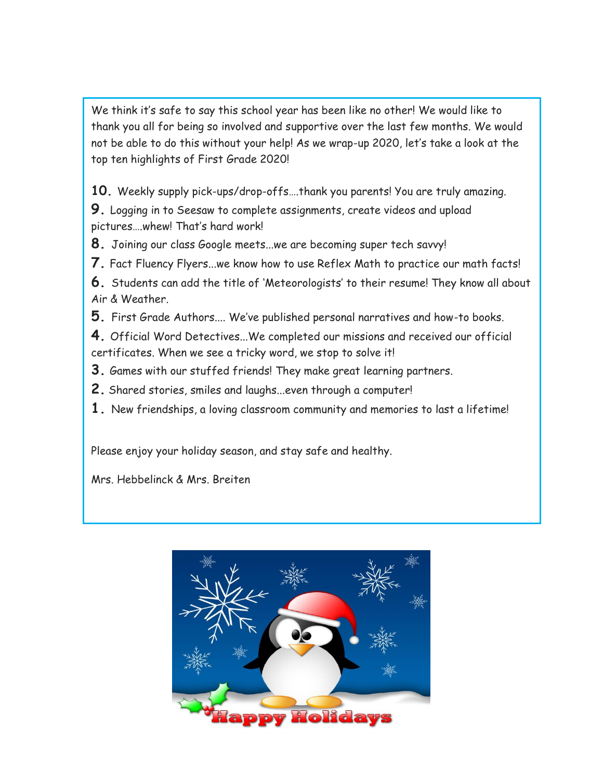We think it's safe to say this school year has been like no other! We would like to thank you all for being so involved and supportive over the last few months. We would not be able to do this without your help! As we wrap-up 2020, let's take a look at the top ten highlights of First Grade 2020!

**10.** Weekly supply pick-ups/drop-offs….thank you parents! You are truly amazing.

**9.** Logging in to Seesaw to complete assignments, create videos and upload pictures….whew! That's hard work!

**8.** Joining our class Google meets...we are becoming super tech savvy!

**7.** Fact Fluency Flyers...we know how to use Reflex Math to practice our math facts!

**6.** Students can add the title of 'Meteorologists' to their resume! They know all about Air & Weather.

**5.** First Grade Authors.... We've published personal narratives and how-to books.

**4.** Official Word Detectives...We completed our missions and received our official certificates. When we see a tricky word, we stop to solve it!

**3.** Games with our stuffed friends! They make great learning partners.

**2.** Shared stories, smiles and laughs...even through a computer!

**1.** New friendships, a loving classroom community and memories to last a lifetime!

Please enjoy your holiday season, and stay safe and healthy.

Mrs. Hebbelinck & Mrs. Breiten